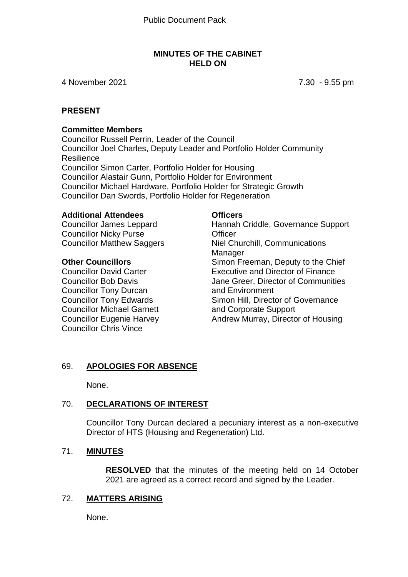## **MINUTES OF THE CABINET HELD ON**

4 November 2021 7.30 - 9.55 pm

#### **PRESENT**

#### **Committee Members**

Councillor Russell Perrin, Leader of the Council Councillor Joel Charles, Deputy Leader and Portfolio Holder Community Resilience Councillor Simon Carter, Portfolio Holder for Housing Councillor Alastair Gunn, Portfolio Holder for Environment Councillor Michael Hardware, Portfolio Holder for Strategic Growth Councillor Dan Swords, Portfolio Holder for Regeneration

## **Additional Attendees**

Councillor James Leppard Councillor Nicky Purse Councillor Matthew Saggers

# **Other Councillors**

Councillor David Carter Councillor Bob Davis Councillor Tony Durcan Councillor Tony Edwards Councillor Michael Garnett Councillor Eugenie Harvey Councillor Chris Vince

#### **Officers**

Hannah Criddle, Governance Support **Officer** Niel Churchill, Communications Manager Simon Freeman, Deputy to the Chief Executive and Director of Finance Jane Greer, Director of Communities and Environment Simon Hill, Director of Governance and Corporate Support Andrew Murray, Director of Housing

# 69. **APOLOGIES FOR ABSENCE**

None.

# 70. **DECLARATIONS OF INTEREST**

Councillor Tony Durcan declared a pecuniary interest as a non-executive Director of HTS (Housing and Regeneration) Ltd.

# 71. **MINUTES**

**RESOLVED** that the minutes of the meeting held on 14 October 2021 are agreed as a correct record and signed by the Leader.

# 72. **MATTERS ARISING**

None.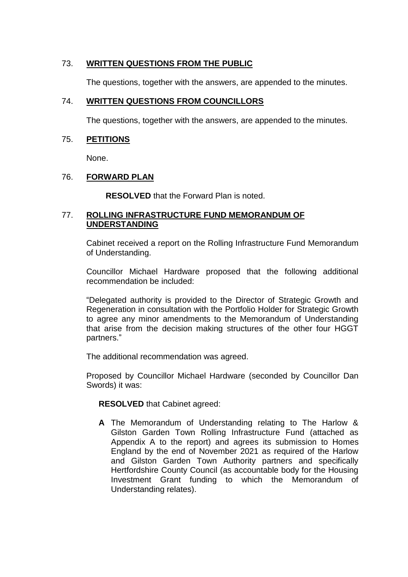# 73. **WRITTEN QUESTIONS FROM THE PUBLIC**

The questions, together with the answers, are appended to the minutes.

# 74. **WRITTEN QUESTIONS FROM COUNCILLORS**

The questions, together with the answers, are appended to the minutes.

# 75. **PETITIONS**

None.

# 76. **FORWARD PLAN**

**RESOLVED** that the Forward Plan is noted.

## 77. **ROLLING INFRASTRUCTURE FUND MEMORANDUM OF UNDERSTANDING**

Cabinet received a report on the Rolling Infrastructure Fund Memorandum of Understanding.

Councillor Michael Hardware proposed that the following additional recommendation be included:

"Delegated authority is provided to the Director of Strategic Growth and Regeneration in consultation with the Portfolio Holder for Strategic Growth to agree any minor amendments to the Memorandum of Understanding that arise from the decision making structures of the other four HGGT partners."

The additional recommendation was agreed.

Proposed by Councillor Michael Hardware (seconded by Councillor Dan Swords) it was:

# **RESOLVED** that Cabinet agreed:

**A** The Memorandum of Understanding relating to The Harlow & Gilston Garden Town Rolling Infrastructure Fund (attached as Appendix A to the report) and agrees its submission to Homes England by the end of November 2021 as required of the Harlow and Gilston Garden Town Authority partners and specifically Hertfordshire County Council (as accountable body for the Housing Investment Grant funding to which the Memorandum of Understanding relates).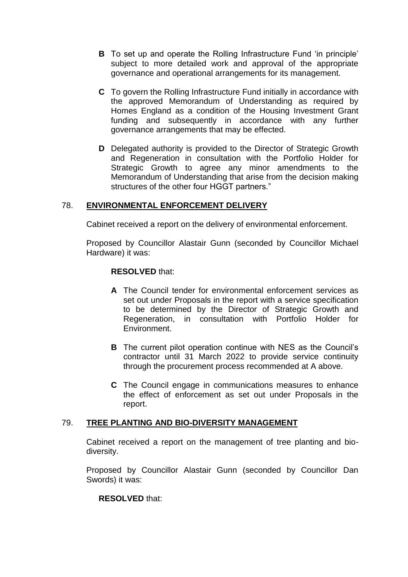- **B** To set up and operate the Rolling Infrastructure Fund 'in principle' subject to more detailed work and approval of the appropriate governance and operational arrangements for its management.
- **C** To govern the Rolling Infrastructure Fund initially in accordance with the approved Memorandum of Understanding as required by Homes England as a condition of the Housing Investment Grant funding and subsequently in accordance with any further governance arrangements that may be effected.
- **D** Delegated authority is provided to the Director of Strategic Growth and Regeneration in consultation with the Portfolio Holder for Strategic Growth to agree any minor amendments to the Memorandum of Understanding that arise from the decision making structures of the other four HGGT partners."

# 78. **ENVIRONMENTAL ENFORCEMENT DELIVERY**

Cabinet received a report on the delivery of environmental enforcement.

Proposed by Councillor Alastair Gunn (seconded by Councillor Michael Hardware) it was:

#### **RESOLVED** that:

- **A** The Council tender for environmental enforcement services as set out under Proposals in the report with a service specification to be determined by the Director of Strategic Growth and Regeneration, in consultation with Portfolio Holder for Environment.
- **B** The current pilot operation continue with NES as the Council's contractor until 31 March 2022 to provide service continuity through the procurement process recommended at A above.
- **C** The Council engage in communications measures to enhance the effect of enforcement as set out under Proposals in the report.

#### 79. **TREE PLANTING AND BIO-DIVERSITY MANAGEMENT**

Cabinet received a report on the management of tree planting and biodiversity.

Proposed by Councillor Alastair Gunn (seconded by Councillor Dan Swords) it was:

#### **RESOLVED** that: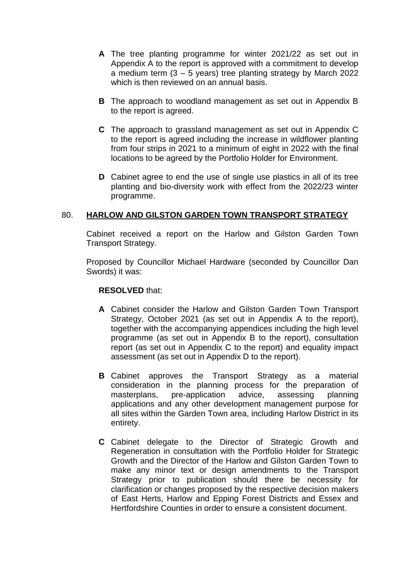- **A** The tree planting programme for winter 2021/22 as set out in Appendix A to the report is approved with a commitment to develop a medium term  $(3 - 5$  years) tree planting strategy by March 2022 which is then reviewed on an annual basis.
- **B** The approach to woodland management as set out in Appendix B to the report is agreed.
- **C** The approach to grassland management as set out in Appendix C to the report is agreed including the increase in wildflower planting from four strips in 2021 to a minimum of eight in 2022 with the final locations to be agreed by the Portfolio Holder for Environment.
- **D** Cabinet agree to end the use of single use plastics in all of its tree planting and bio-diversity work with effect from the 2022/23 winter programme.

#### 80. **HARLOW AND GILSTON GARDEN TOWN TRANSPORT STRATEGY**

Cabinet received a report on the Harlow and Gilston Garden Town Transport Strategy.

Proposed by Councillor Michael Hardware (seconded by Councillor Dan Swords) it was:

#### **RESOLVED** that:

- **A** Cabinet consider the Harlow and Gilston Garden Town Transport Strategy, October 2021 (as set out in Appendix A to the report), together with the accompanying appendices including the high level programme (as set out in Appendix B to the report), consultation report (as set out in Appendix C to the report) and equality impact assessment (as set out in Appendix D to the report).
- **B** Cabinet approves the Transport Strategy as a material consideration in the planning process for the preparation of masterplans, pre-application advice, assessing planning applications and any other development management purpose for all sites within the Garden Town area, including Harlow District in its entirety.
- **C** Cabinet delegate to the Director of Strategic Growth and Regeneration in consultation with the Portfolio Holder for Strategic Growth and the Director of the Harlow and Gilston Garden Town to make any minor text or design amendments to the Transport Strategy prior to publication should there be necessity for clarification or changes proposed by the respective decision makers of East Herts, Harlow and Epping Forest Districts and Essex and Hertfordshire Counties in order to ensure a consistent document.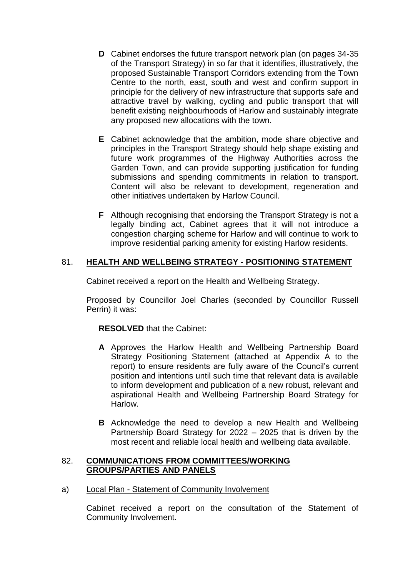- **D** Cabinet endorses the future transport network plan (on pages 34-35 of the Transport Strategy) in so far that it identifies, illustratively, the proposed Sustainable Transport Corridors extending from the Town Centre to the north, east, south and west and confirm support in principle for the delivery of new infrastructure that supports safe and attractive travel by walking, cycling and public transport that will benefit existing neighbourhoods of Harlow and sustainably integrate any proposed new allocations with the town.
- **E** Cabinet acknowledge that the ambition, mode share objective and principles in the Transport Strategy should help shape existing and future work programmes of the Highway Authorities across the Garden Town, and can provide supporting justification for funding submissions and spending commitments in relation to transport. Content will also be relevant to development, regeneration and other initiatives undertaken by Harlow Council.
- **F** Although recognising that endorsing the Transport Strategy is not a legally binding act, Cabinet agrees that it will not introduce a congestion charging scheme for Harlow and will continue to work to improve residential parking amenity for existing Harlow residents.

# 81. **HEALTH AND WELLBEING STRATEGY - POSITIONING STATEMENT**

Cabinet received a report on the Health and Wellbeing Strategy.

Proposed by Councillor Joel Charles (seconded by Councillor Russell Perrin) it was:

# **RESOLVED** that the Cabinet:

- **A** Approves the Harlow Health and Wellbeing Partnership Board Strategy Positioning Statement (attached at Appendix A to the report) to ensure residents are fully aware of the Council's current position and intentions until such time that relevant data is available to inform development and publication of a new robust, relevant and aspirational Health and Wellbeing Partnership Board Strategy for Harlow.
- **B** Acknowledge the need to develop a new Health and Wellbeing Partnership Board Strategy for 2022 – 2025 that is driven by the most recent and reliable local health and wellbeing data available.

# 82. **COMMUNICATIONS FROM COMMITTEES/WORKING GROUPS/PARTIES AND PANELS**

a) Local Plan - Statement of Community Involvement

Cabinet received a report on the consultation of the Statement of Community Involvement.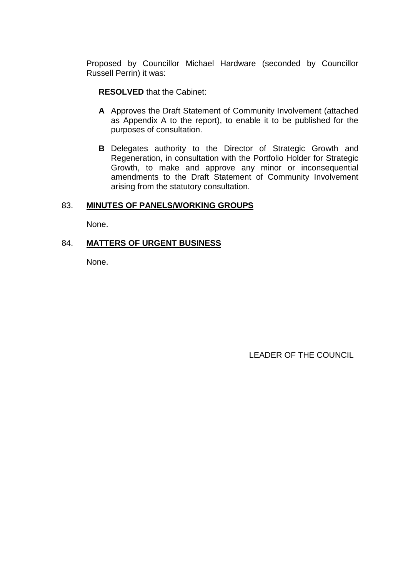Proposed by Councillor Michael Hardware (seconded by Councillor Russell Perrin) it was:

**RESOLVED** that the Cabinet:

- **A** Approves the Draft Statement of Community Involvement (attached as Appendix A to the report), to enable it to be published for the purposes of consultation.
- **B** Delegates authority to the Director of Strategic Growth and Regeneration, in consultation with the Portfolio Holder for Strategic Growth, to make and approve any minor or inconsequential amendments to the Draft Statement of Community Involvement arising from the statutory consultation.

#### 83. **MINUTES OF PANELS/WORKING GROUPS**

None.

# 84. **MATTERS OF URGENT BUSINESS**

None.

LEADER OF THE COUNCIL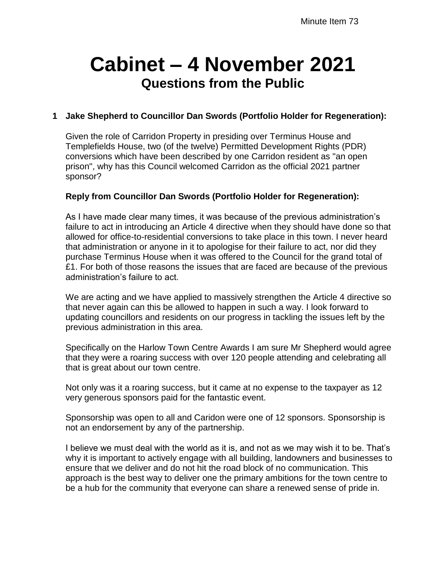# **Cabinet – 4 November 2021 Questions from the Public**

# **1 Jake Shepherd to Councillor Dan Swords (Portfolio Holder for Regeneration):**

Given the role of Carridon Property in presiding over Terminus House and Templefields House, two (of the twelve) Permitted Development Rights (PDR) conversions which have been described by one Carridon resident as "an open prison", why has this Council welcomed Carridon as the official 2021 partner sponsor?

# **Reply from Councillor Dan Swords (Portfolio Holder for Regeneration):**

As I have made clear many times, it was because of the previous administration's failure to act in introducing an Article 4 directive when they should have done so that allowed for office-to-residential conversions to take place in this town. I never heard that administration or anyone in it to apologise for their failure to act, nor did they purchase Terminus House when it was offered to the Council for the grand total of £1. For both of those reasons the issues that are faced are because of the previous administration's failure to act.

We are acting and we have applied to massively strengthen the Article 4 directive so that never again can this be allowed to happen in such a way. I look forward to updating councillors and residents on our progress in tackling the issues left by the previous administration in this area.

Specifically on the Harlow Town Centre Awards I am sure Mr Shepherd would agree that they were a roaring success with over 120 people attending and celebrating all that is great about our town centre.

Not only was it a roaring success, but it came at no expense to the taxpayer as 12 very generous sponsors paid for the fantastic event.

Sponsorship was open to all and Caridon were one of 12 sponsors. Sponsorship is not an endorsement by any of the partnership.

I believe we must deal with the world as it is, and not as we may wish it to be. That's why it is important to actively engage with all building, landowners and businesses to ensure that we deliver and do not hit the road block of no communication. This approach is the best way to deliver one the primary ambitions for the town centre to be a hub for the community that everyone can share a renewed sense of pride in.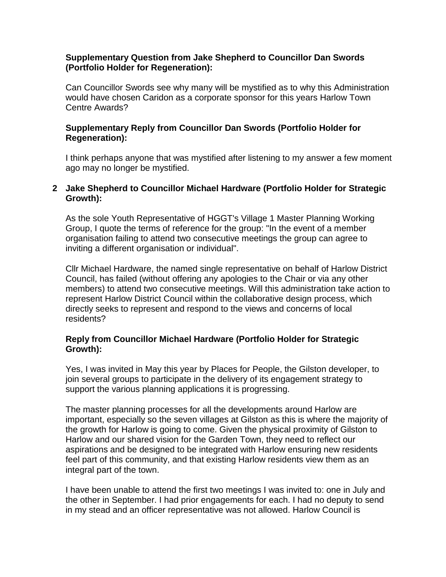## **Supplementary Question from Jake Shepherd to Councillor Dan Swords (Portfolio Holder for Regeneration):**

Can Councillor Swords see why many will be mystified as to why this Administration would have chosen Caridon as a corporate sponsor for this years Harlow Town Centre Awards?

# **Supplementary Reply from Councillor Dan Swords (Portfolio Holder for Regeneration):**

I think perhaps anyone that was mystified after listening to my answer a few moment ago may no longer be mystified.

# **2 Jake Shepherd to Councillor Michael Hardware (Portfolio Holder for Strategic Growth):**

As the sole Youth Representative of HGGT's Village 1 Master Planning Working Group, I quote the terms of reference for the group: "In the event of a member organisation failing to attend two consecutive meetings the group can agree to inviting a different organisation or individual".

Cllr Michael Hardware, the named single representative on behalf of Harlow District Council, has failed (without offering any apologies to the Chair or via any other members) to attend two consecutive meetings. Will this administration take action to represent Harlow District Council within the collaborative design process, which directly seeks to represent and respond to the views and concerns of local residents?

# **Reply from Councillor Michael Hardware (Portfolio Holder for Strategic Growth):**

Yes, I was invited in May this year by Places for People, the Gilston developer, to join several groups to participate in the delivery of its engagement strategy to support the various planning applications it is progressing.

The master planning processes for all the developments around Harlow are important, especially so the seven villages at Gilston as this is where the majority of the growth for Harlow is going to come. Given the physical proximity of Gilston to Harlow and our shared vision for the Garden Town, they need to reflect our aspirations and be designed to be integrated with Harlow ensuring new residents feel part of this community, and that existing Harlow residents view them as an integral part of the town.

I have been unable to attend the first two meetings I was invited to: one in July and the other in September. I had prior engagements for each. I had no deputy to send in my stead and an officer representative was not allowed. Harlow Council is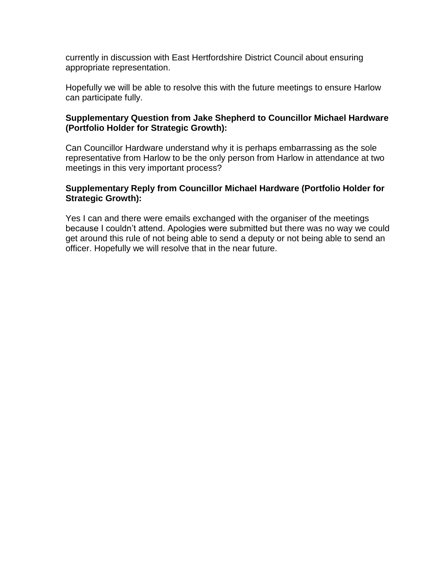currently in discussion with East Hertfordshire District Council about ensuring appropriate representation.

Hopefully we will be able to resolve this with the future meetings to ensure Harlow can participate fully.

## **Supplementary Question from Jake Shepherd to Councillor Michael Hardware (Portfolio Holder for Strategic Growth):**

Can Councillor Hardware understand why it is perhaps embarrassing as the sole representative from Harlow to be the only person from Harlow in attendance at two meetings in this very important process?

## **Supplementary Reply from Councillor Michael Hardware (Portfolio Holder for Strategic Growth):**

Yes I can and there were emails exchanged with the organiser of the meetings because I couldn't attend. Apologies were submitted but there was no way we could get around this rule of not being able to send a deputy or not being able to send an officer. Hopefully we will resolve that in the near future.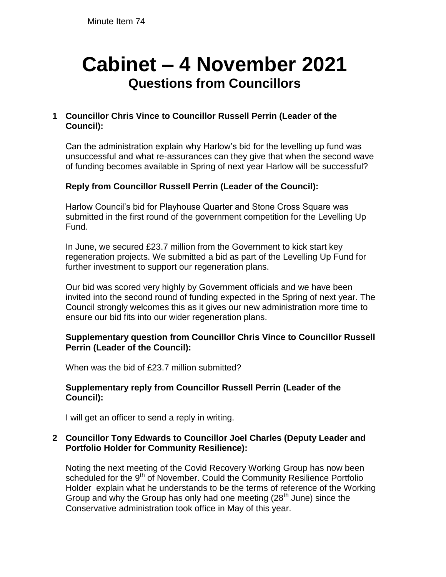# **Cabinet – 4 November 2021 Questions from Councillors**

# **1 Councillor Chris Vince to Councillor Russell Perrin (Leader of the Council):**

Can the administration explain why Harlow's bid for the levelling up fund was unsuccessful and what re-assurances can they give that when the second wave of funding becomes available in Spring of next year Harlow will be successful?

# **Reply from Councillor Russell Perrin (Leader of the Council):**

Harlow Council's bid for Playhouse Quarter and Stone Cross Square was submitted in the first round of the government competition for the Levelling Up Fund.

In June, we secured £23.7 million from the Government to kick start key regeneration projects. We submitted a bid as part of the Levelling Up Fund for further investment to support our regeneration plans.

Our bid was scored very highly by Government officials and we have been invited into the second round of funding expected in the Spring of next year. The Council strongly welcomes this as it gives our new administration more time to ensure our bid fits into our wider regeneration plans.

# **Supplementary question from Councillor Chris Vince to Councillor Russell Perrin (Leader of the Council):**

When was the bid of £23.7 million submitted?

# **Supplementary reply from Councillor Russell Perrin (Leader of the Council):**

I will get an officer to send a reply in writing.

# **2 Councillor Tony Edwards to Councillor Joel Charles (Deputy Leader and Portfolio Holder for Community Resilience):**

Noting the next meeting of the Covid Recovery Working Group has now been scheduled for the 9<sup>th</sup> of November. Could the Community Resilience Portfolio Holder explain what he understands to be the terms of reference of the Working Group and why the Group has only had one meeting (28<sup>th</sup> June) since the Conservative administration took office in May of this year.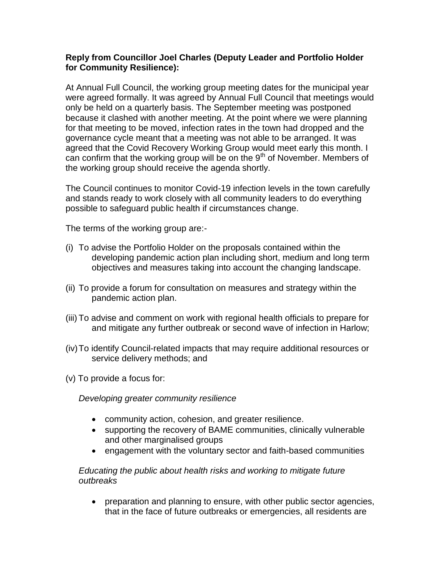# **Reply from Councillor Joel Charles (Deputy Leader and Portfolio Holder for Community Resilience):**

At Annual Full Council, the working group meeting dates for the municipal year were agreed formally. It was agreed by Annual Full Council that meetings would only be held on a quarterly basis. The September meeting was postponed because it clashed with another meeting. At the point where we were planning for that meeting to be moved, infection rates in the town had dropped and the governance cycle meant that a meeting was not able to be arranged. It was agreed that the Covid Recovery Working Group would meet early this month. I can confirm that the working group will be on the  $9<sup>th</sup>$  of November. Members of the working group should receive the agenda shortly.

The Council continues to monitor Covid-19 infection levels in the town carefully and stands ready to work closely with all community leaders to do everything possible to safeguard public health if circumstances change.

The terms of the working group are:-

- (i) To advise the Portfolio Holder on the proposals contained within the developing pandemic action plan including short, medium and long term objectives and measures taking into account the changing landscape.
- (ii) To provide a forum for consultation on measures and strategy within the pandemic action plan.
- (iii) To advise and comment on work with regional health officials to prepare for and mitigate any further outbreak or second wave of infection in Harlow;
- (iv)To identify Council-related impacts that may require additional resources or service delivery methods; and
- (v) To provide a focus for:

*Developing greater community resilience*

- community action, cohesion, and greater resilience.
- supporting the recovery of BAME communities, clinically vulnerable and other marginalised groups
- engagement with the voluntary sector and faith-based communities

*Educating the public about health risks and working to mitigate future outbreaks*

 preparation and planning to ensure, with other public sector agencies, that in the face of future outbreaks or emergencies, all residents are